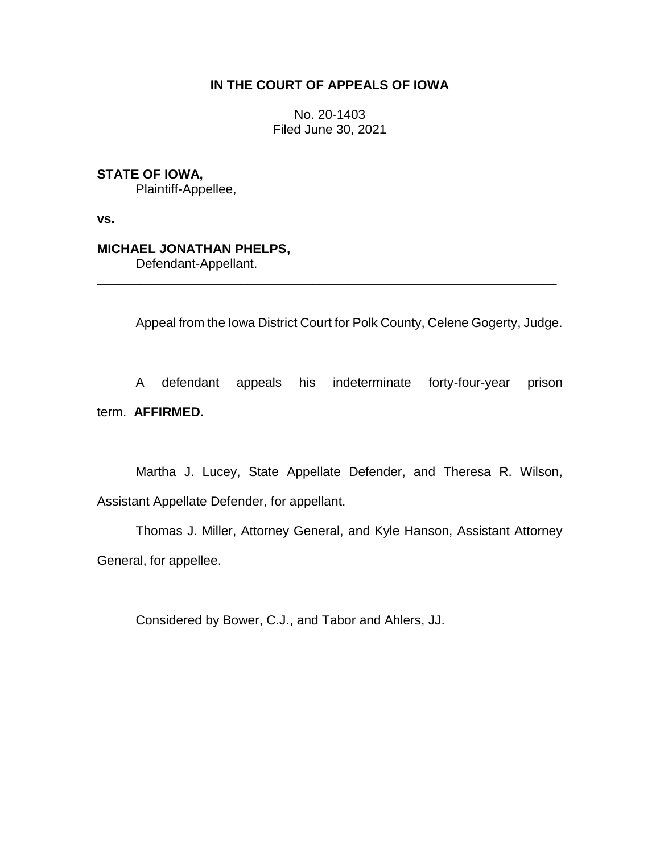# **IN THE COURT OF APPEALS OF IOWA**

No. 20-1403 Filed June 30, 2021

## **STATE OF IOWA,**

Plaintiff-Appellee,

**vs.**

# **MICHAEL JONATHAN PHELPS,**

Defendant-Appellant.

Appeal from the Iowa District Court for Polk County, Celene Gogerty, Judge.

A defendant appeals his indeterminate forty-four-year prison term. **AFFIRMED.**

\_\_\_\_\_\_\_\_\_\_\_\_\_\_\_\_\_\_\_\_\_\_\_\_\_\_\_\_\_\_\_\_\_\_\_\_\_\_\_\_\_\_\_\_\_\_\_\_\_\_\_\_\_\_\_\_\_\_\_\_\_\_\_\_

Martha J. Lucey, State Appellate Defender, and Theresa R. Wilson, Assistant Appellate Defender, for appellant.

Thomas J. Miller, Attorney General, and Kyle Hanson, Assistant Attorney General, for appellee.

Considered by Bower, C.J., and Tabor and Ahlers, JJ.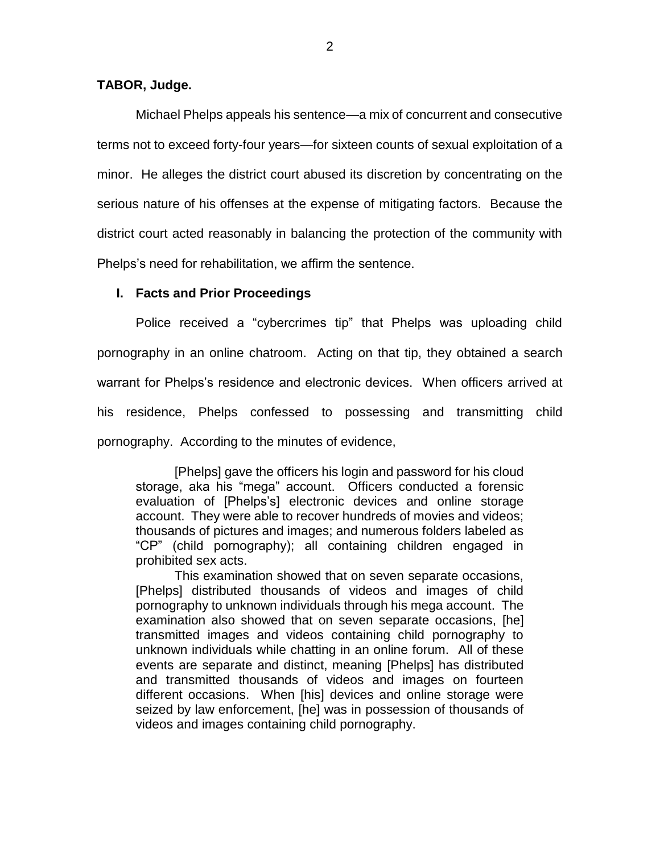### **TABOR, Judge.**

Michael Phelps appeals his sentence—a mix of concurrent and consecutive terms not to exceed forty-four years—for sixteen counts of sexual exploitation of a minor. He alleges the district court abused its discretion by concentrating on the serious nature of his offenses at the expense of mitigating factors. Because the district court acted reasonably in balancing the protection of the community with Phelps's need for rehabilitation, we affirm the sentence.

## **I. Facts and Prior Proceedings**

Police received a "cybercrimes tip" that Phelps was uploading child pornography in an online chatroom. Acting on that tip, they obtained a search warrant for Phelps's residence and electronic devices. When officers arrived at his residence, Phelps confessed to possessing and transmitting child pornography. According to the minutes of evidence,

[Phelps] gave the officers his login and password for his cloud storage, aka his "mega" account. Officers conducted a forensic evaluation of [Phelps's] electronic devices and online storage account. They were able to recover hundreds of movies and videos; thousands of pictures and images; and numerous folders labeled as "CP" (child pornography); all containing children engaged in prohibited sex acts.

This examination showed that on seven separate occasions, [Phelps] distributed thousands of videos and images of child pornography to unknown individuals through his mega account. The examination also showed that on seven separate occasions, [he] transmitted images and videos containing child pornography to unknown individuals while chatting in an online forum. All of these events are separate and distinct, meaning [Phelps] has distributed and transmitted thousands of videos and images on fourteen different occasions. When [his] devices and online storage were seized by law enforcement, [he] was in possession of thousands of videos and images containing child pornography.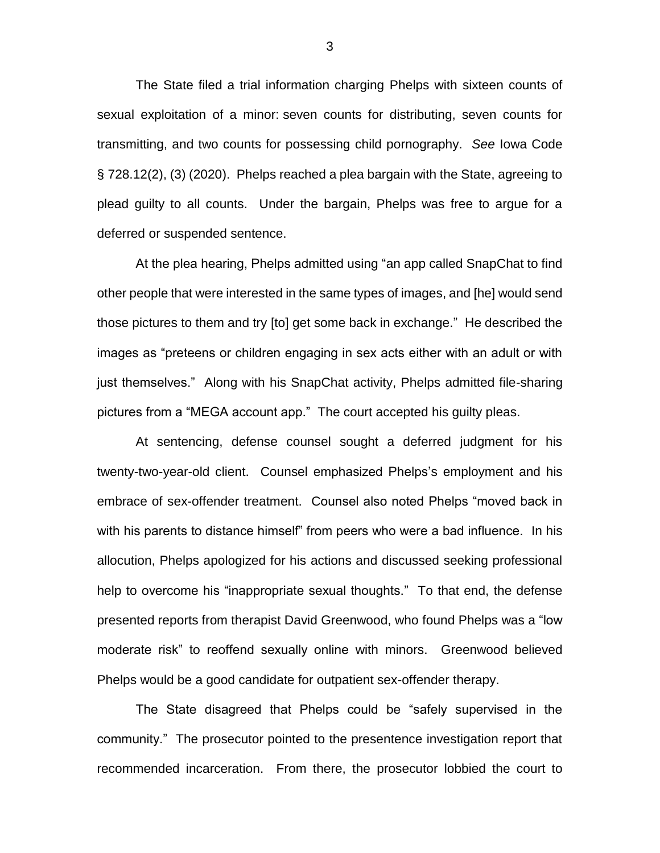The State filed a trial information charging Phelps with sixteen counts of sexual exploitation of a minor: seven counts for distributing, seven counts for transmitting, and two counts for possessing child pornography. *See* Iowa Code § 728.12(2), (3) (2020). Phelps reached a plea bargain with the State, agreeing to plead guilty to all counts. Under the bargain, Phelps was free to argue for a deferred or suspended sentence.

At the plea hearing, Phelps admitted using "an app called SnapChat to find other people that were interested in the same types of images, and [he] would send those pictures to them and try [to] get some back in exchange." He described the images as "preteens or children engaging in sex acts either with an adult or with just themselves." Along with his SnapChat activity, Phelps admitted file-sharing pictures from a "MEGA account app." The court accepted his guilty pleas.

At sentencing, defense counsel sought a deferred judgment for his twenty-two-year-old client. Counsel emphasized Phelps's employment and his embrace of sex-offender treatment. Counsel also noted Phelps "moved back in with his parents to distance himself" from peers who were a bad influence. In his allocution, Phelps apologized for his actions and discussed seeking professional help to overcome his "inappropriate sexual thoughts." To that end, the defense presented reports from therapist David Greenwood, who found Phelps was a "low moderate risk" to reoffend sexually online with minors. Greenwood believed Phelps would be a good candidate for outpatient sex-offender therapy.

The State disagreed that Phelps could be "safely supervised in the community." The prosecutor pointed to the presentence investigation report that recommended incarceration. From there, the prosecutor lobbied the court to

3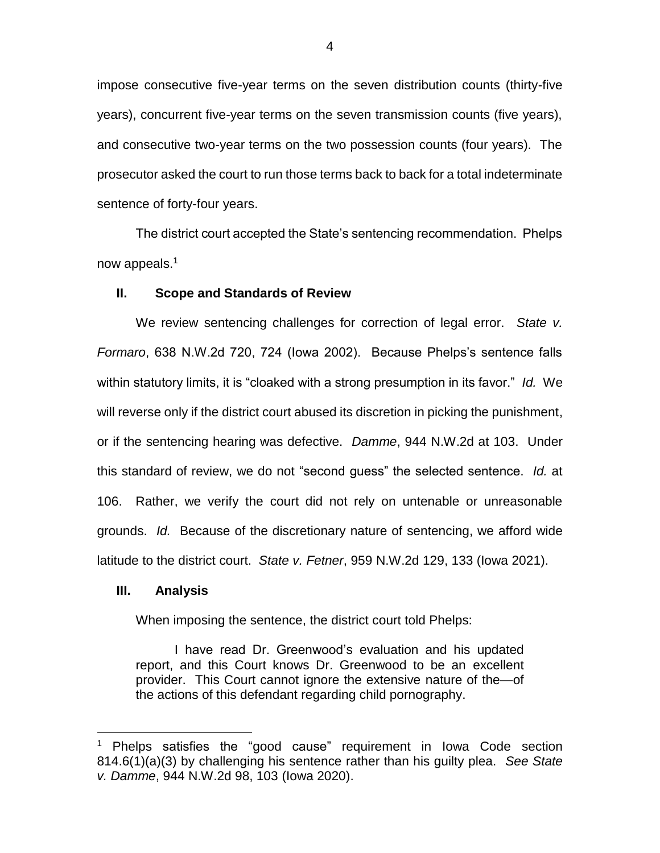impose consecutive five-year terms on the seven distribution counts (thirty-five years), concurrent five-year terms on the seven transmission counts (five years), and consecutive two-year terms on the two possession counts (four years). The prosecutor asked the court to run those terms back to back for a total indeterminate sentence of forty-four years.

The district court accepted the State's sentencing recommendation. Phelps now appeals.<sup>1</sup>

#### **II. Scope and Standards of Review**

We review sentencing challenges for correction of legal error. *State v. Formaro*, 638 N.W.2d 720, 724 (Iowa 2002). Because Phelps's sentence falls within statutory limits, it is "cloaked with a strong presumption in its favor." *Id.* We will reverse only if the district court abused its discretion in picking the punishment, or if the sentencing hearing was defective. *Damme*, 944 N.W.2d at 103. Under this standard of review, we do not "second guess" the selected sentence. *Id.* at 106. Rather, we verify the court did not rely on untenable or unreasonable grounds. *Id.* Because of the discretionary nature of sentencing, we afford wide latitude to the district court. *State v. Fetner*, 959 N.W.2d 129, 133 (Iowa 2021).

#### **III. Analysis**

 $\overline{a}$ 

When imposing the sentence, the district court told Phelps:

I have read Dr. Greenwood's evaluation and his updated report, and this Court knows Dr. Greenwood to be an excellent provider. This Court cannot ignore the extensive nature of the—of the actions of this defendant regarding child pornography.

<sup>&</sup>lt;sup>1</sup> Phelps satisfies the "good cause" requirement in Iowa Code section 814.6(1)(a)(3) by challenging his sentence rather than his guilty plea. *See State v. Damme*, 944 N.W.2d 98, 103 (Iowa 2020).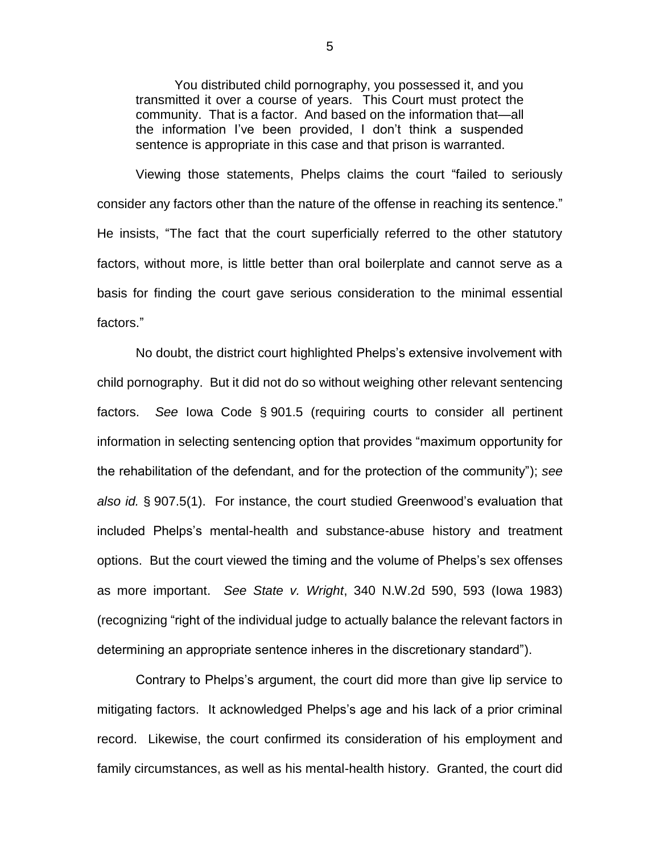You distributed child pornography, you possessed it, and you transmitted it over a course of years. This Court must protect the community. That is a factor. And based on the information that—all the information I've been provided, I don't think a suspended sentence is appropriate in this case and that prison is warranted.

Viewing those statements, Phelps claims the court "failed to seriously consider any factors other than the nature of the offense in reaching its sentence." He insists, "The fact that the court superficially referred to the other statutory factors, without more, is little better than oral boilerplate and cannot serve as a basis for finding the court gave serious consideration to the minimal essential factors."

No doubt, the district court highlighted Phelps's extensive involvement with child pornography. But it did not do so without weighing other relevant sentencing factors. *See* Iowa Code § 901.5 (requiring courts to consider all pertinent information in selecting sentencing option that provides "maximum opportunity for the rehabilitation of the defendant, and for the protection of the community"); *see also id.* § 907.5(1). For instance, the court studied Greenwood's evaluation that included Phelps's mental-health and substance-abuse history and treatment options. But the court viewed the timing and the volume of Phelps's sex offenses as more important. *See State v. Wright*, 340 N.W.2d 590, 593 (Iowa 1983) (recognizing "right of the individual judge to actually balance the relevant factors in determining an appropriate sentence inheres in the discretionary standard").

Contrary to Phelps's argument, the court did more than give lip service to mitigating factors. It acknowledged Phelps's age and his lack of a prior criminal record. Likewise, the court confirmed its consideration of his employment and family circumstances, as well as his mental-health history. Granted, the court did